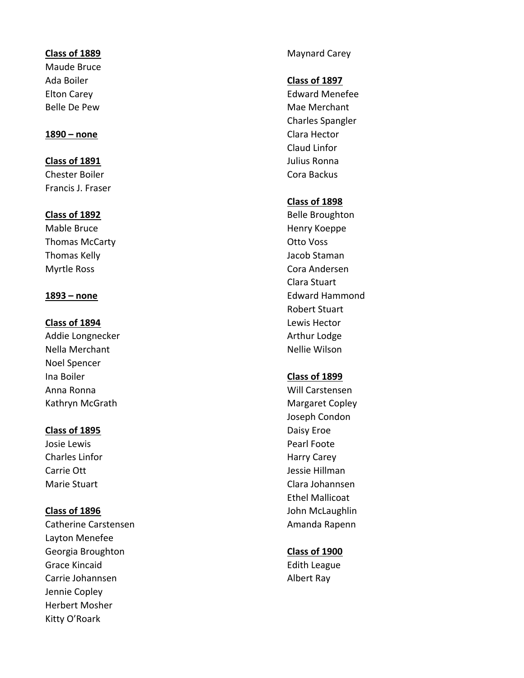Maude Bruce Ada Boiler **Class of 1897**

**Class of 1891** Julius Ronna Chester Boiler Chester Boiler Cora Backus Francis J. Fraser

Thomas McCarty **Carty Canadian Control Control City Otto Voss** Thomas Kelly **Allowski Staman** Jacob Staman Myrtle Ross **Cora Andersen** 

Addie Longnecker **Arthur Lodge** Arthur Lodge Nella Merchant Nellie Wilson Noel Spencer Ina Boiler **Class of 1899** Anna Ronna Will Carstensen Kathryn McGrath Margaret Copley

# **Class of 1895** Daisy Eroe

Charles Linfor **Harry Carey** 

Catherine Carstensen Amanda Rapenn Layton Menefee Georgia Broughton **Class of 1900** Grace Kincaid **Edith League** Edith League Carrie Johannsen Albert Ray Jennie Copley Herbert Mosher Kitty O'Roark

**Class of 1889** Maynard Carey

Elton Carey **Edward Menefee** Belle De Pew **Mac Matter of the Selle De Pew Mac Merchant** Charles Spangler **1890 – none** Clara Hector Claud Linfor

# **Class of 1898**

**Class of 1892** Belle Broughton Mable Bruce **Mable Bruce Henry Koeppe** Clara Stuart **1893 – none** Edward Hammond Robert Stuart **Class of 1894** Lewis Hector

Joseph Condon Josie Lewis **Communist Excess Excess Pearl Foote** Carrie Ott Jessie Hillman Marie Stuart Clara Johannsen Ethel Mallicoat **Class of 1896 John McLaughlin**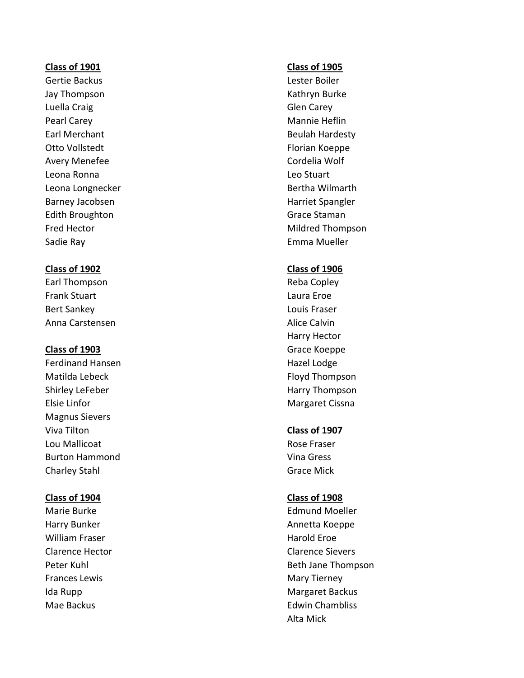Gertie Backus **Lester Boiler** Jay Thompson **Kathryn Burke** Luella Craig Carey Communication Communication Communication Communication Communication Communication Communication Communication Communication Communication Communication Communication Communication Communication Communi Pearl Carey **Mannie Heflin** Earl Merchant **Beulah Hardesty** Otto Vollstedt **Florian Koeppe** Avery Menefee **Cordelia** Wolf Leona Ronna Leo Stuart Leona Longnecker **Bertha Wilmarth** Barney Jacobsen **Harriet Spangler** Harriet Spangler Edith Broughton Grace Staman Grace Staman Sadie Ray Emma Mueller

# **Class of 1902 Class of 1906**

Earl Thompson **Reba Copley** Frank Stuart Laura Eroe Bert Sankey Louis Fraser Anna Carstensen **Alice Calvin** Alice Calvin

Ferdinand Hansen **Hazel Lodge** Hazel Lodge Matilda Lebeck **Floyd Thompson** Shirley LeFeber **Harry Thompson** Elsie Linfor **Margaret Cissna** Magnus Sievers Viva Tilton **Class of 1907** Lou Mallicoat **Rose Fraser** Burton Hammond **Vina Gress** Charley Stahl Grace Mick

William Fraser **Harold Eroe** Harold Eroe Frances Lewis **Mary Tierney** Mary Tierney

### **Class of 1901 Class of 1905**

Fred Hector **Mildred Thompson** 

Harry Hector **Class of 1903** Grace Koeppe

### **Class of 1904 Class of 1908**

Marie Burke **Edmund Moeller** Edmund Moeller Harry Bunker **Annetta Koeppe** Clarence Hector Clarence Sievers Peter Kuhl Beth Jane Thompson Ida Rupp **Margaret Backus Margaret Backus** Mae Backus **Edwin Chambliss** Edwin Chambliss **Edwin** Chambliss Alta Mick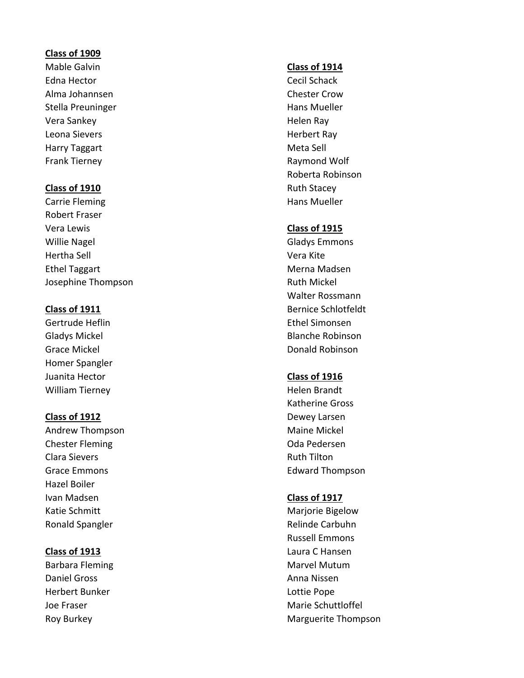# **Class of 1909**

Mable Galvin **Class of 1914** Edna Hector **Cecil Schack** Alma Johannsen Chester Crow Stella Preuninger and European Hans Mueller Vera Sankey **Accord Property** Contract Contract Contract Contract Contract Contract Contract Contract Contract Contract Contract Contract Contract Contract Contract Contract Contract Contract Contract Contract Contract Con Leona Sievers **Herbert Ray** Harry Taggart **Meta Sell** Frank Tierney **Raymond Wolf** 

# **Class of 1910** Ruth Stacey

Carrie Fleming **Hans Mueller Hans Mueller** Robert Fraser Vera Lewis **Class of 1915** Willie Nagel **Gladys Emmons** Hertha Sell Vera Kite Ethel Taggart **Merna Madsen** Merna Madsen Josephine Thompson **Ruth Mickel** 

Homer Spangler Juanita Hector **Class of 1916** William Tierney **Helen Brandt** 

Andrew Thompson **Maine Mickel** Chester Fleming and Chester Fleming and Chester Pleming and Chester Pleming and Chester Pleming and Chester Pleming Clara Sievers **Ruth Tilton** Grace Emmons **Edward Thompson** Hazel Boiler Ivan Madsen **Class of 1917** Katie Schmitt **Marjorie Bigelow** Marjorie Bigelow Ronald Spangler **Relinde Carbuhn** 

Daniel Gross **Anna Nissen** Herbert Bunker Lottie Pope

Roberta Robinson

Walter Rossmann **Class of 1911** Bernice Schlotfeldt Gertrude Heflin **Ethel Simonsen** Ethel Simonsen Gladys Mickel **Blanche Robinson** Grace Mickel **Donald Robinson Donald Robinson** 

Katherine Gross **Class of 1912** Dewey Larsen

Russell Emmons **Class of 1913** Laura C Hansen Barbara Fleming **Marvel Mutum** Marvel Mutum Joe Fraser Marie Schuttloffel National According Marie Schuttloffel National According Marie Schuttloffel National According Marie Schuttloffel National According Marie Schuttloffel National According Marie Schuttloffel Na Roy Burkey **Marguerite Thompson**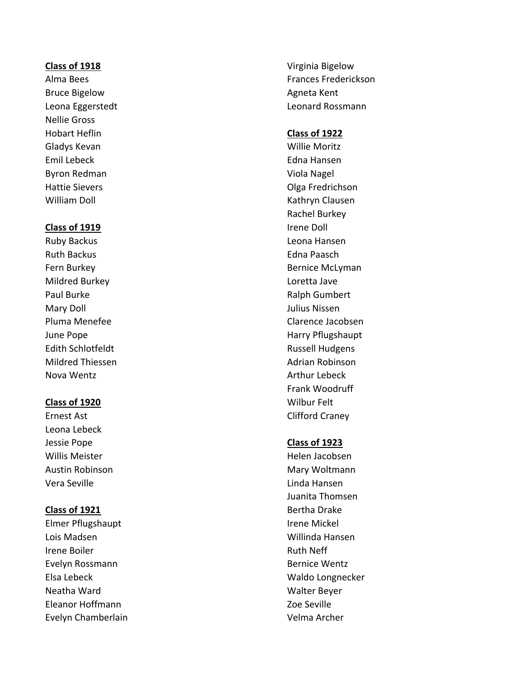# **Class of 1918** Virginia Bigelow

Bruce Bigelow **Agneta** Kent Nellie Gross Hobart Heflin **Class of 1922** Gladys Kevan **Willie Moritz** Emil Lebeck Edna Hansen Byron Redman Viola Nagel William Doll **Kathryn Clausen** 

## **Class of 1919 Irene Doll**

Ruth Backus **Edna Paasch** Mildred Burkey Loretta Jave Paul Burke **Ralph Gumbert** Ralph Gumbert Mary Doll **Mary Doll Mary Doll Mary Doll Mary Doll Mary Doll Mary Doll Mary Doll Mary Doll Mary Doll Mary Doll Mary Doll Mary Doll Mary Doll Mary Doll Mary Doll Mary Doll Mary Doll Mary Do** Edith Schlotfeldt **Russell Hudgens** Mildred Thiessen **Adrian Robinson Adrian Robinson** Nova Wentz **Arthur Lebeck** Arthur Lebeck

# **Class of 1920** Wilbur Felt

Leona Lebeck Jessie Pope **Class of 1923** Willis Meister National Accords and Millis Meister National Accords and Millis Meister Accords and Millis Meister Vera Seville Linda Hansen

Elmer Pflugshaupt **Irene Mickel** Lois Madsen Willinda Hansen Irene Boiler **Ruth Neff** Evelyn Rossmann **Bernice Wentz** Elsa Lebeck Waldo Longnecker Neatha Ward Walter Beyer Eleanor Hoffmann Zoe Seville Evelyn Chamberlain Velma Archer

Alma Bees **Frances Frederickson** Leona Eggerstedt Leonard Rossmann

Hattie Sievers **Access 19 and 19 and 19 and 19 and 19 and 19 and 19 and 19 and 19 and 19 and 19 and 19 and 19 and 19 and 19 and 19 and 19 and 19 and 19 and 19 and 19 and 19 and 19 and 19 and 19 and 19 and 19 and 19 and 19** Rachel Burkey Ruby Backus Leona Hansen Fern Burkey **Bernice McLyman** Pluma Menefee Clarence Jacobsen June Pope **Harry Pflugshaupt** Frank Woodruff Ernest Ast **Clifford Craney** 

Austin Robinson **Mary Woltmann** Juanita Thomsen **Class of 1921** Bertha Drake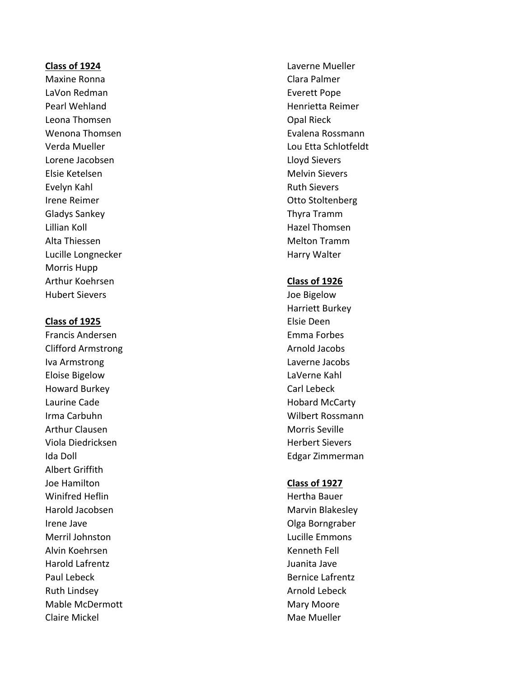Maxine Ronna Clara Palmer LaVon Redman **Everett Pope** Pearl Wehland **Henrich Henrich Henrich Reimer** Henrich Henrich Reimer Leona Thomsen **Construction** Construction Construction Construction Construction Construction Construction Const Lorene Jacobsen **Lorent Communist Communist Communist Communist Communist Communist Communist Communist Communist Communist Communist Communist Communist Communist Communist Communist Communist Communist Communist Communis** Elsie Ketelsen Melvin Sievers Evelyn Kahl Ruth Sievers Irene Reimer **Internet Controllering** Controllering Controllering Controllering Controllering Controllering Controllering Controllering Controllering Controllering Controllering Controllering Controllering Controllering Co Gladys Sankey Thyra Tramm Lillian Koll Hazel Thomsen Alta Thiessen Melton Tramm Lucille Longnecker **Harry Walter** Harry Walter Morris Hupp Arthur Koehrsen **Class of 1926** Hubert Sievers **Access 19 and Signal** Hubert Sievers and Access 100 and Hubert Sievers 100 and Hubert 300 and Hub

### **Class of 1925** Elsie Deen

Clifford Armstrong and a series are all the Arnold Jacobs Iva Armstrong Laverne Jacobs Eloise Bigelow LaVerne Kahl Howard Burkey **Carl Lebeck** Laurine Cade **Hobard McCarty** Irma Carbuhn Wilbert Rossmann Arthur Clausen and Clausen and Clausen and Clausen and Morris Seville Viola Diedricksen and die eine Einstein von der Herbert Sievers Ida Doll **Edgar Zimmerman** Albert Griffith Joe Hamilton **Class of 1927** Winifred Heflin **Hertha Bauer Hertha Bauer** Harold Jacobsen Marvin Blakesley Irene Jave **Communist Communist Communist Communist Communist Communist Communist Communist Communist Communist Communist Communist Communist Communist Communist Communist Communist Communist Communist Communist Communist** Merril Johnston Lucille Emmons Alvin Koehrsen Kenneth Fell Harold Lafrentz Juanita Jave Paul Lebeck **Bernice Lafrentz** Ruth Lindsey **Arnold Lebeck Arnold Lebeck Arnold Lebeck** Mable McDermott **Mary Moore** Mary Moore Claire Mickel **Mac** Mae Mueller

**Class of 1924** Laverne Mueller Wenona Thomsen **Evalena Rossmann** Verda Mueller Lou Etta Schlotfeldt

Harriett Burkey Francis Andersen Emma Forbes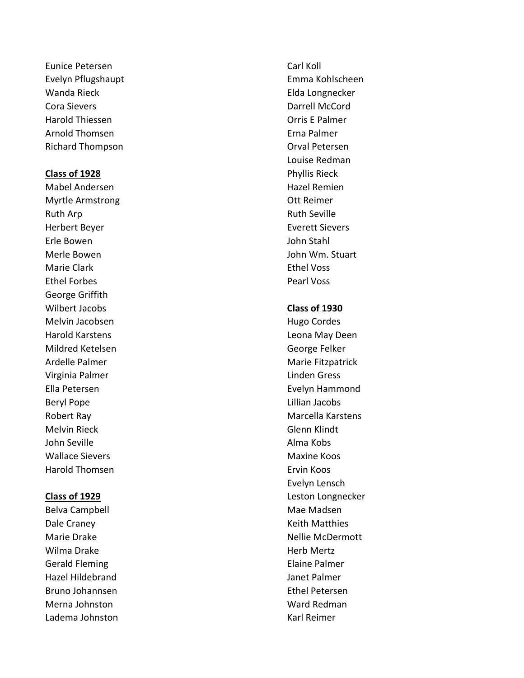Eunice Petersen Carl Koll Evelyn Pflugshaupt **Emma Kohlscheen** Wanda Rieck **Elda** Longnecker Cora Sievers Darrell McCord Harold Thiessen Orris E Palmer Arnold Thomsen Erna Palmer Richard Thompson **Calculation** Orval Petersen

Mabel Andersen **Hazel Remien** Hazel Remien Myrtle Armstrong and a settlement of the Ott Reimer Ruth Arp **Ruth Arp** Ruth Seville Herbert Beyer Everett Sievers Erle Bowen John Stahl Merle Bowen John Wm. Stuart Marie Clark **Ethel Voss** Ethel Forbes **Pearl Voss** George Griffith Wilbert Jacobs **Class of 1930** Melvin Jacobsen **Hugo Cordes** Hugo Cordes Harold Karstens Leona May Deen Mildred Ketelsen George Felker Ardelle Palmer Marie Fitzpatrick Virginia Palmer National According Linden Gress Ella Petersen Evelyn Hammond Beryl Pope **Lillian Jacobs** Melvin Rieck Glenn Klindt John Seville **Alma Kobs** Wallace Sievers **Maxime Koos** Maxine Koos Harold Thomsen **Example 2018** Ervin Koos

Belva Campbell **Mac Mac Mac Mac Madsen** Dale Craney **National Cranes Control** Cranes Assembly Reith Matthies Wilma Drake **Herb Mertz** Gerald Fleming **Elaine Palmer** Hazel Hildebrand Janet Palmer Bruno Johannsen Ethel Petersen Merna Johnston Ward Redman Ladema Johnston **Karl Reimer** Karl Reimer

Louise Redman **Class of 1928** Phyllis Rieck

Robert Ray Marcella Karstens Evelyn Lensch **Class of 1929** Leston Longnecker Marie Drake Nellie McDermott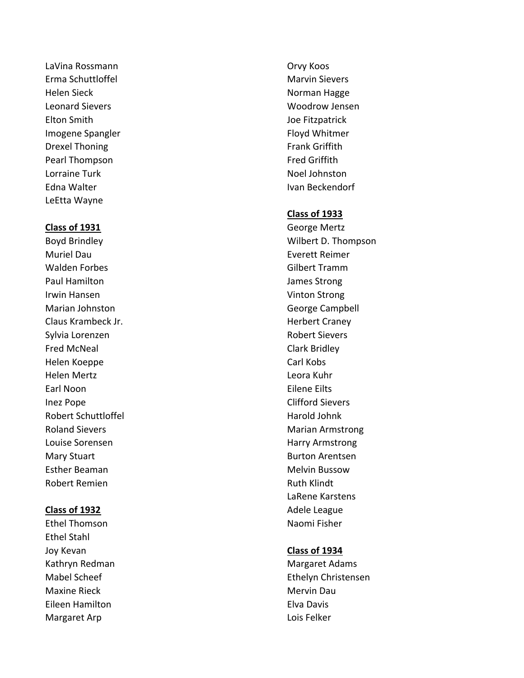LaVina Rossmann **Carloss Communist Communist Communist Communist Communist Communist Communist Communist Communist Communist Communist Communist Communist Communist Communist Communist Communist Communist Communist Communi** Erma Schuttloffel Marvin Sievers Helen Sieck Norman Hagge Leonard Sievers North States and Servers Woodrow Jensen Elton Smith Joe Fitzpatrick Imogene Spangler Floyd Whitmer Drexel Thoning **Frank Griffith** Pearl Thompson **Fred Griffith** Lorraine Turk Noel Johnston Edna Walter **Ivan Beckendorf** LeEtta Wayne

Muriel Dau Everett Reimer Walden Forbes Gilbert Tramm Paul Hamilton **James Strong** Irwin Hansen Vinton Strong Marian Johnston George Campbell Claus Krambeck Jr. New York Changes and the Herbert Craney Sylvia Lorenzen and a state of the Robert Sievers Fred McNeal **Clark Bridley** Helen Koeppe Carl Kobs Helen Mertz Leora Kuhr Earl Noon Eilene Eilts Inez Pope Clifford Sievers Robert Schuttloffel **Harold Johnk** Harold Johnk Roland Sievers **Marian Armstrong** Marian Armstrong Louise Sorensen **Harry Armstrong** Harry Armstrong Mary Stuart **Burton Arentsen** Esther Beaman **Melvin Bussow** Melvin Bussow Robert Remien and The Communist Ruth Klindt

Ethel Stahl Joy Kevan **Class of 1934** Kathryn Redman Margaret Adams Maxine Rieck Mervin Dau Eileen Hamilton Elva Davis Margaret Arp **Lois Felker Lois Felker** 

### **Class of 1933**

**Class of 1931** George Mertz Boyd Brindley Wilbert D. Thompson LaRene Karstens **Class of 1932 Adele League 2012 Adele League 2013** Ethel Thomson Naomi Fisher

Mabel Scheef Ethelyn Christensen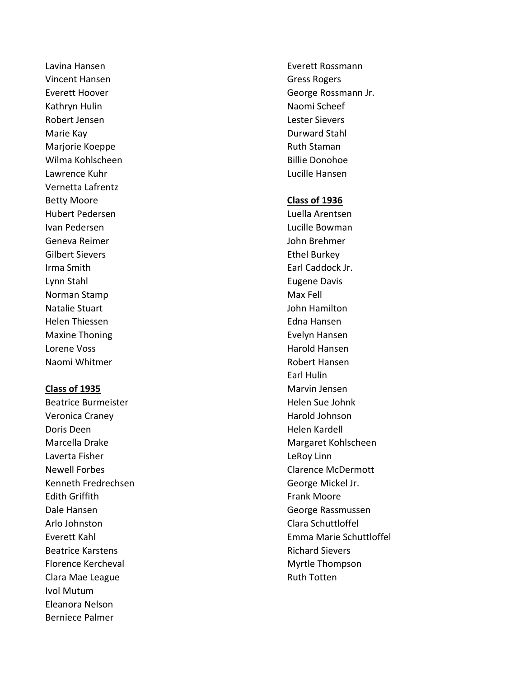Vincent Hansen Gress Rogers Kathryn Hulin Naomi Scheef Robert Jensen Lester Sievers Marie Kay Durward Stahl Marjorie Koeppe **Ruth Staman** Wilma Kohlscheen **Billie Donohoe** Billie Donohoe Lawrence Kuhr Lucille Hansen Vernetta Lafrentz Betty Moore **Class of 1936** Hubert Pedersen Luella Arentsen Ivan Pedersen **Ivan Pedersen** Lucille Bowman Geneva Reimer John Brehmer Gilbert Sievers **Ethel Burkey** Irma Smith **Earl Caddock Jr. Earl Caddock Jr.** Lynn Stahl Eugene Davis Norman Stamp Max Fell Natalie Stuart John Hamilton Helen Thiessen Edna Hansen Maxine Thoning **Evelyn** Hansen Lorene Voss and Hansen Harold Hansen Harold Hansen Naomi Whitmer Robert Hansen

Beatrice Burmeister **Helen Sue John Sue John Sue John Kennet Sue John Kennet Sue John Kennet Sue John Kennet Su** Veronica Craney **Harold Johnson** Doris Deen **Helen Kardell** Laverta Fisher **Laverta Fisher Legacy** Learning Learning Learning Learning Learning Learning Learning Learning Learning Learning Learning Learning Learning Learning Learning Learning Learning Learning Learning Learning L Newell Forbes **Clarence McDermott** Kenneth Fredrechsen George Mickel Jr. Edith Griffith Frank Moore Dale Hansen George Rassmussen Arlo Johnston Clara Schuttloffel Beatrice Karstens **Richard Sievers Richard Sievers** Florence Kercheval **Myrtle Thompson** Clara Mae League **Ruth Totten** Ivol Mutum Eleanora Nelson Berniece Palmer

Lavina Hansen Everett Rossmann Everett Hoover **George Rossmann Jr. George Rossmann Jr.** 

Earl Hulin **Class of 1935** Marvin Jensen Marcella Drake Margaret Kohlscheen Everett Kahl Emma Marie Schuttloffel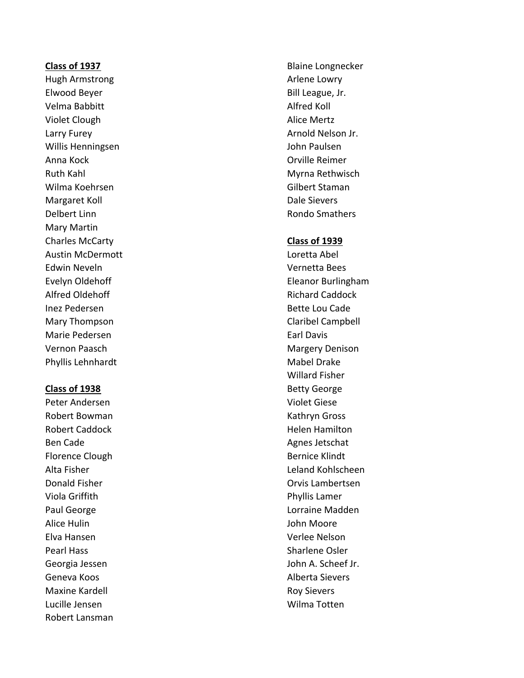Hugh Armstrong and a state of the Arlene Lowry Elwood Beyer **Bill League, Jr. Bill League, Jr.** Velma Babbitt **Alfred Koll** Violet Clough **Alice Mertz** Larry Furey **Arnold Nelson Jr. Arnold Nelson Jr. Arnold Nelson Jr.** Willis Henningsen and Die Bergensen von der Bergensen aus der John Paulsen Anna Kock Orville Reimer Ruth Kahl Myrna Rethwisch Wilma Koehrsen Gilbert Staman Margaret Koll **Dale Sievers** Delbert Linn **Rondo Smathers** Rondo Smathers **Rondo Smathers** Mary Martin Charles McCarty **Class of 1939** Austin McDermott Loretta Abel Edwin Neveln **Vernetta Bees** Alfred Oldehoff **Richard Caddock** Richard Caddock Inez Pedersen Bette Lou Cade Mary Thompson **Claribel Campbell** Marie Pedersen Earl Davis Vernon Paasch Margery Denison Phyllis Lehnhardt Mabel Drake

Peter Andersen Violet Giese Robert Bowman Kathryn Gross Robert Caddock **Helen Hamilton** Ben Cade **Agnes Jetschat** Agnes Jetschat Florence Clough Bernice Klindt Viola Griffith **Phyllis Lamer** Alice Hulin **Alice Hulin** John Moore Elva Hansen Verlee Nelson Pearl Hass Sharlene Osler Geneva Koos Alberta Sievers Maxine Kardell **Maxis According Maxime Kardell** Roy Sievers Lucille Jensen Wilma Totten Robert Lansman

**Class of 1937** Blaine Longnecker

Evelyn Oldehoff **Eleanor Burlingham** Willard Fisher **Class of 1938** Betty George Alta Fisher Leland Kohlscheen **Donald Fisher Community Community Community** Community Community Community Community Community Community Community Paul George **Lorraine Madden** Georgia Jessen John A. Scheef Jr.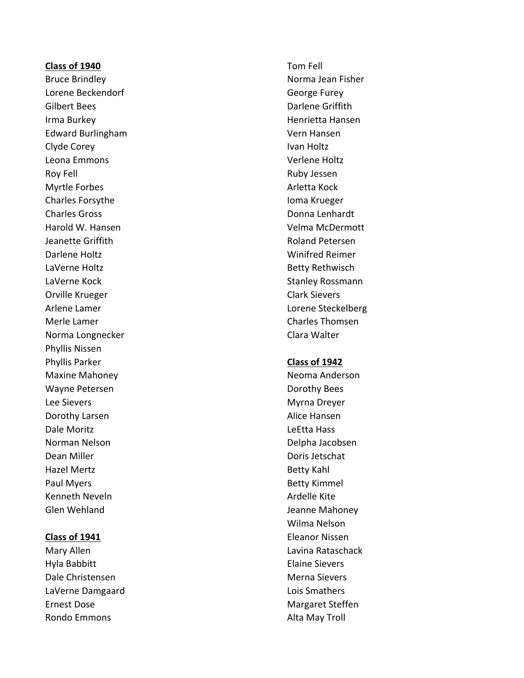### **Class of 1940** Tom Fell

Lorene Beckendorf and George Furey Gilbert Bees **Darlene Griffith Irma Burkey New York Contract Contract Contract Contract Contract Contract Contract Contract Contract Contract Contract Contract Contract Contract Contract Contract Contract Contract Contract Contract Contract Contract Co** Edward Burlingham Vern Hansen Clyde Corey **Ivan Holtz** Leona Emmons Verlene Holtz Roy Fell **Ruby Jessen** Myrtle Forbes **Arletta Kock Arletta Kock** Charles Forsythe **Ioma Krueger** Ioma Krueger Charles Gross **Donna Lenhardt** Harold W. Hansen **Velma McDermott** Jeanette Griffith **Roland Petersen** Darlene Holtz Winifred Reimer LaVerne Holtz **Betty Rethwisch** LaVerne Kock **Stanley Rossmann** Orville Krueger Clark Sievers Arlene Lamer Lorene Steckelberg Merle Lamer Charles Thomsen Norma Longnecker Clara Walter Phyllis Nissen Phyllis Parker **Class of 1942** Maxine Mahoney Neoma Anderson Wayne Petersen **Dorothy Bees** Lee Sievers Myrna Dreyer Dorothy Larsen **Alice Hansen** Dale Moritz LeEtta Hass Norman Nelson **Delpha Jacobsen** Dean Miller **Downloam** Doris Jetschat Hazel Mertz **Betty Kahl** Paul Myers **Betty Kimmel** Kenneth Neveln **Ardelle Kite** Glen Wehland Jeanne Mahoney

Hyla Babbitt **Elaine Sievers** Dale Christensen Merna Sievers LaVerne Damgaard **Lating Communist Communist Communist Communist Communist Communist Communist Communist Communist Communist Communist Communist Communist Communist Communist Communist Communist Communist Communist Communi** Ernest Dose **Margaret Steffen** Rondo Emmons **Alta May Troll** 

Bruce Brindley **Norma Jean Fisher** Norma Jean Fisher

Wilma Nelson **Class of 1941** Eleanor Nissen Mary Allen **Mary Allen** Lavina Rataschack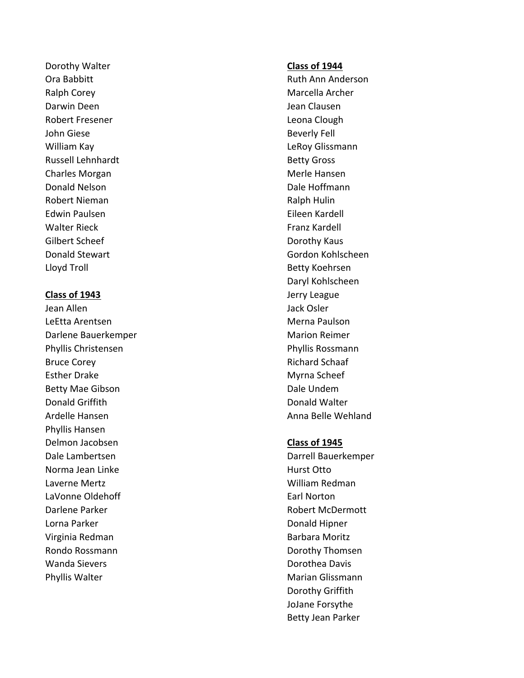Dorothy Walter **Class of 1944** Ralph Corey **Marcella** Archer Darwin Deen Jean Clausen Jean Clausen Robert Fresener **Leona Clough** John Giese Beverly Fell William Kay **Legal Community Community** Community LeRoy Glissmann Russell Lehnhardt **Betty Gross** Charles Morgan and The Charles Morgan Merle Hansen Donald Nelson Dale Hoffmann Robert Nieman and The Communication of the Ralph Hulin Edwin Paulsen Eileen Kardell Walter Rieck **Franz Kardell** Gilbert Scheef **Dorothy Kaus** Lloyd Troll and the controll betty Koehrsen and Betty Koehrsen

Jean Allen Jack Osler LeEtta Arentsen Merna Paulson Merna Paulson Darlene Bauerkemper Marion Reimer Phyllis Christensen Phyllis Rossmann Bruce Corey **Richard Schaaf** Esther Drake Myrna Scheef Myrna Scheef Betty Mae Gibson **Dale Undem** Donald Griffith Donald Walter Ardelle Hansen Anna Belle Wehland Phyllis Hansen Delmon Jacobsen **Class of 1945** Dale Lambertsen and Darrell Bauerkemper Norma Jean Linke **Hurst Otto** Laverne Mertz William Redman LaVonne Oldehoff **Earl Norton** Darlene Parker **Robert McDermott** Lorna Parker **Donald Hipner** Donald Hipner Virginia Redman Barbara Moritz Rondo Rossmann **Dorothy Thomsen** Wanda Sievers Dorothea Davis Phyllis Walter **Marian Glissmann** 

Ora Babbitt Ruth Ann Anderson Donald Stewart Gordon Kohlscheen Daryl Kohlscheen **Class of 1943 Jerry League** 

Dorothy Griffith JoJane Forsythe Betty Jean Parker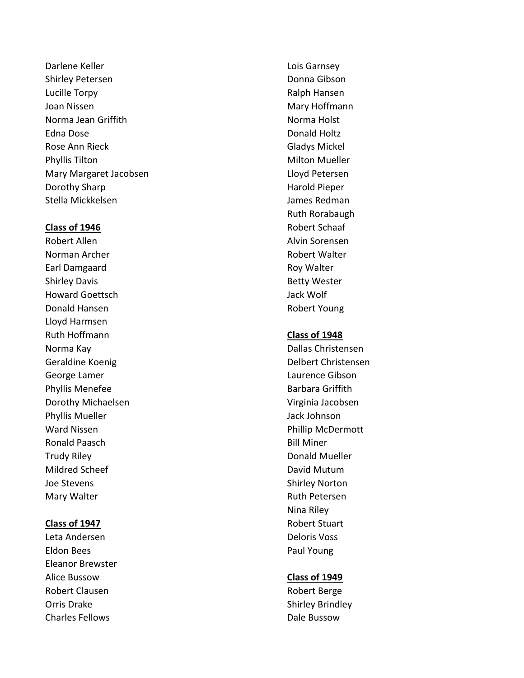Darlene Keller **Lois Garnsey** Shirley Petersen **Donna Gibson** Donna Gibson Lucille Torpy **Ralph Hansen** Joan Nissen Mary Hoffmann (1999) and the Mary Hoffmann Mary Hoffmann (1999) and the Mary Hoffmann (1999) and the Mary Hoffmann (1999) and the Mary Hoffmann (1999) and the Mary Hoffmann (1999) and the Mary Hoffmann (1999) a Norma Jean Griffith Norma Holst Edna Dose **Donald Holtz** Rose Ann Rieck Gladys Mickel Phyllis Tilton **Milton Mueller** Milton Mueller Mary Margaret Jacobsen **Leapen Exercise Serversen** Lloyd Petersen Dorothy Sharp **Harold Pieper** Harold Pieper Stella Mickkelsen James Redman

Robert Allen Alvin Sorensen Norman Archer **Norman Archer** Robert Walter Earl Damgaard **Roy Walter** Roy Walter Shirley Davis **Betty Wester** Howard Goettsch Jack Wolf Donald Hansen **Robert Young** Lloyd Harmsen Ruth Hoffmann **Class of 1948** Norma Kay **Norma Kay Communist Communist Communist Communist Communist Christensen** Geraldine Koenig and Delbert Christensen George Lamer **Laurence Gibson** Phyllis Menefee **Barbara Griffith** Dorothy Michaelsen **Virginia Jacobsen** Phyllis Mueller and The Jack Johnson Ward Nissen **Ward Nissen** Phillip McDermott Ronald Paasch Bill Miner Trudy Riley **Donald Mueller** Mildred Scheef National According Muslim David Mutum Joe Stevens Shirley Norton Mary Walter **Mary Walter** Ruth Petersen

Leta Andersen **Deloris Voss** Eldon Bees **Paul Young** Eleanor Brewster Alice Bussow **Class of 1949** Robert Clausen and The Robert Berge Orris Drake Shirley Brindley **Charles Fellows Charles Fellows** 

Ruth Rorabaugh **Class of 1946** Robert Schaaf

Nina Riley **Class of 1947** Robert Stuart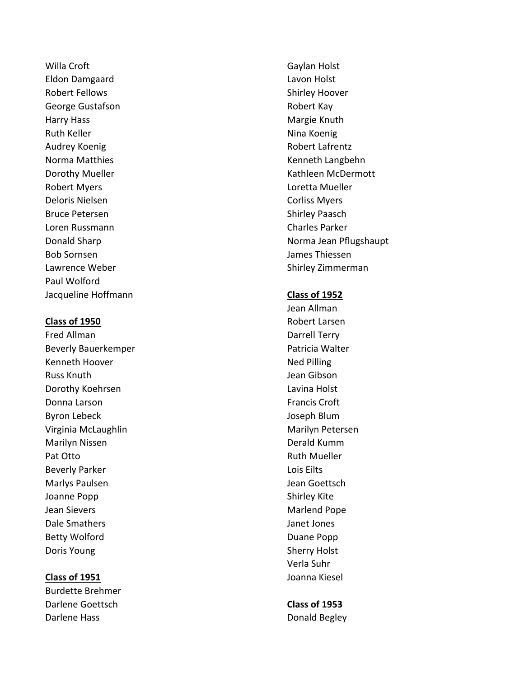Willa Croft Gaylan Holst Eldon Damgaard Lavon Holst Robert Fellows and the state of the Shirley Hoover George Gustafson **Robert Kay** Harry Hass **Margie Knuth** Ruth Keller Nina Koenig Audrey Koenig **Audrey Koenig Robert Lafrentz** Norma Matthies **Kenneth Langbehn** Kenneth Langbehn Robert Myers **Loretta Mueller** Deloris Nielsen Corliss Myers Bruce Petersen Shirley Paasch Loren Russmann Charles Parker Bob Sornsen James Thiessen Lawrence Weber **Shirley Zimmerman** Paul Wolford Jacqueline Hoffmann **Class of 1952**

Beverly Bauerkemper **Patricia Walter** Patricia Walter Kenneth Hoover Ned Pilling Russ Knuth **Nutleet Communist Communist Communist Communist Communist Communist Communist Communist Communist Communist Communist Communist Communist Communist Communist Communist Communist Communist Communist Communist Co** Dorothy Koehrsen **Lavina Holst** Lavina Holst Donna Larson **Francis Croft** Byron Lebeck and the state of the state of the state of the Joseph Blum Virginia McLaughlin Marilyn Petersen Marilyn Nissen Derald Kumm Pat Otto **Ruth Mueller** Ruth Mueller Beverly Parker **Lois Eilts** Marlys Paulsen and The Team Goettsch Jean Goettsch Joanne Popp Shirley Kite Jean Sievers **Maritimes** Marlend Pope Dale Smathers **Dale Smathers Janet Jones** Betty Wolford **Duane Popp** Doris Young Sherry Holst

Burdette Brehmer Darlene Goettsch **Class of 1953** Darlene Hass **Donald Begley** 

Dorothy Mueller **Kathleen McDermott Kathleen McDermott** Donald Sharp Norma Jean Pflugshaupt

Jean Allman **Class of 1950** Robert Larsen Fred Allman **Darrell Terry** Verla Suhr **Class of 1951** Joanna Kiesel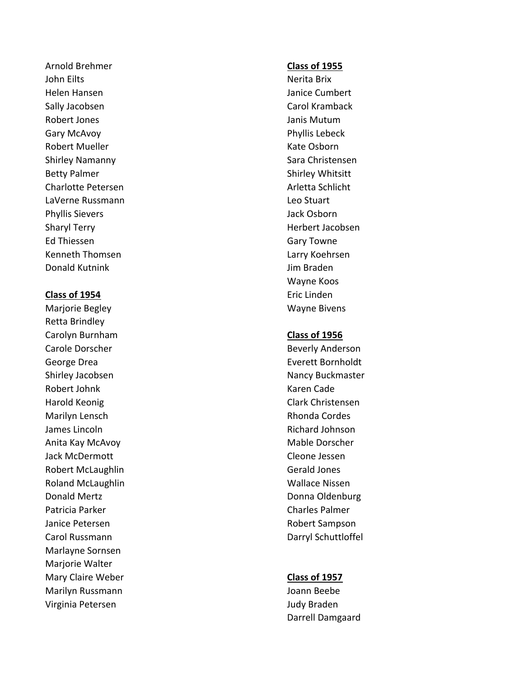Arnold Brehmer **Class of 1955** John Eilts Nerita Brix Helen Hansen Janice Cumbert Sally Jacobsen Carol Kramback Robert Jones **Music Community** Contract and Tanis Mutum Gary McAvoy **Phyllis Lebeck** Robert Mueller **Kate Osborn** Kate Osborn Shirley Namanny Shirley Namanny Sara Christensen Betty Palmer Shirley Whitsitt Charlotte Petersen **Arletta Schlicht** Charlotte Petersen LaVerne Russmann Leo Stuart Phyllis Sievers **Van Einester Steiner Steiner Steiner Steiner Steiner Steiner Steiner Steiner Steiner Steiner** Sharyl Terry **Herbert Jacobsen** Ed Thiessen Gary Towne Kenneth Thomsen and Theory Communist Communist Communist Communist Communist Communist Communist Communist Communist Communist Communist Communist Communist Communist Communist Communist Communist Communist Communist Commu **Donald Kutnink Donald Kutnink** Jim Braden

# **Class of 1954** Eric Linden

Retta Brindley Carolyn Burnham **Class of 1956** Carole Dorscher **Beverly Anderson** George Drea **Everett Bornholdt** Shirley Jacobsen Nancy Buckmaster Robert Johnk Karen Cade Harold Keonig Clark Christensen Marilyn Lensch **Rhonda Cordes** Rhonda Cordes James Lincoln **Richard Johnson** Anita Kay McAvoy **Mable Dorscher** Mable Dorscher Jack McDermott **Cleone Jessen** Robert McLaughlin Gerald Jones Roland McLaughlin Now and Wallace Nissen Donald Mertz Donna Oldenburg Patricia Parker Charles Palmer Charles Palmer Janice Petersen **Robert Sampson** Carol Russmann Darryl Schuttloffel Marlayne Sornsen Marjorie Walter Mary Claire Weber **Class of 1957** Marilyn Russmann Joann Beebe Virginia Petersen and a state of the United States and Audy Braden

Wayne Koos Marjorie Begley Wayne Bivens

Darrell Damgaard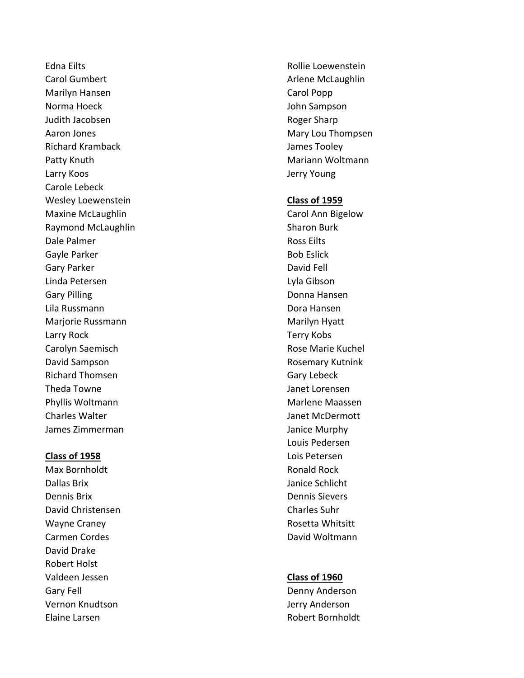Edna Eilts **Education Communist Education** Rollie Loewenstein Carol Gumbert **Arlene McLaughlin** Marilyn Hansen Carol Popp Norma Hoeck and the state of the state of the state of the state of the state of the state of the state of the state of the state of the state of the state of the state of the state of the state of the state of the state o Judith Jacobsen **Roger Sharp** Roger Sharp Aaron Jones **Mary Lou Thompsen** Mary Lou Thompsen Richard Kramback **Internal Accepts** James Tooley Patty Knuth Mariann Woltmann Mariann Woltmann Larry Koos **Access 19 and Access 20 and Access 20 and Access 20 and Access 20 and Access 20 and Access 20 and Access 20 and Access 20 and Access 20 and Access 20 and Access 20 and Access 20 and Access 20 and Access 20 and** Carole Lebeck Wesley Loewenstein **Class of 1959** Maxine McLaughlin **Carol Ann Bigelow** Raymond McLaughlin Sharon Burk Dale Palmer **Now Assessment Contract Contract Contract Contract Contract Contract Contract Contract Contract Contract Contract Contract Contract Contract Contract Contract Contract Contract Contract Contract Contract Contr** Gayle Parker **Bob Eslick Bob Eslick** Gary Parker **David Fell** Linda Petersen Lyla Gibson Gary Pilling **Cary Pilling Cary Pilling Cary Pilling Cary Pilling Cary Pilling Cary Pilling Cary Pilling Cary Pilling Cary Pilling Cary Pilling Cary Pilling Cary Pilling Cary Pilling Cary Pilling** Lila Russmann Dora Hansen Marjorie Russmann Marilyn Hyatt Larry Rock Terry Kobs Carolyn Saemisch **Rose Marie Kuchel** Rose Marie Kuchel David Sampson **Rosemary Kutnink** Richard Thomsen Gary Lebeck Theda Towne Janet Lorensen Phyllis Woltmann Marlene Maassen Charles Walter **Janet McDermott** James Zimmerman and James Zimmerman Janice Murphy

Max Bornholdt **Ronald Rock** Ronald Rock Dallas Brix Janice Schlicht Dennis Brix Dennis Sievers David Christensen Charles Suhr Wayne Craney **Mathematics** Craney Rosetta Whitsitt Carmen Cordes **David Woltmann** David Drake Robert Holst Valdeen Jessen **Class of 1960** Gary Fell **Gary Fell** Controller Controller Controller Controller Denny Anderson Vernon Knudtson Jerry Anderson Elaine Larsen Robert Bornholdt

Louis Pedersen **Class of 1958** Lois Petersen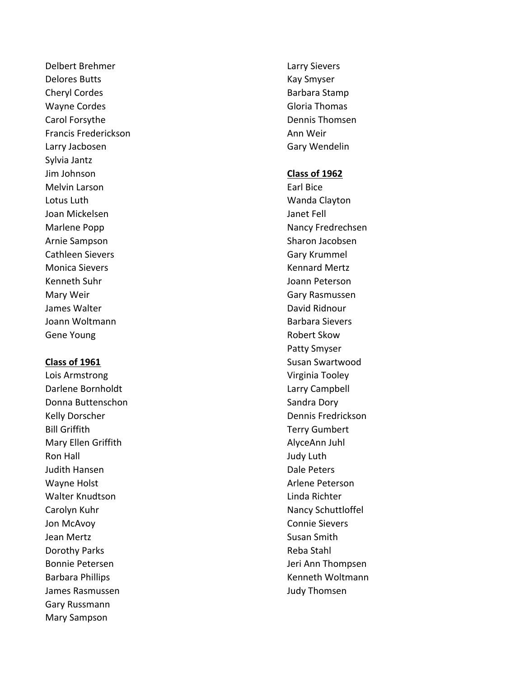Delbert Brehmer Larry Sievers Delores Butts **Kay Smyser** Kay Smyser Cheryl Cordes **Barbara Stamp** Wayne Cordes Gloria Thomas Carol Forsythe **Dennis Thomsen** Francis Frederickson **Ann Weir** Ann Weir Larry Jacbosen Gary Wendelin Sylvia Jantz Jim Johnson **Class of 1962** Melvin Larson **Earl Bice** Earl Bice Lotus Luth **Wanda Clayton** Joan Mickelsen Janet Fell Arnie Sampson Sharon Jacobsen Cathleen Sievers **Gary Krummel** Monica Sievers Kennard Mertz Kenneth Suhr Joann Peterson Mary Weir Gary Rasmussen James Walter David Ridnour Joann Woltmann **Barbara Sievers** Gene Young **Robert Skow** 

Darlene Bornholdt Larry Campbell Donna Buttenschon Sandra Dory Sandra Dory Kelly Dorscher New York (2008) 2012 12:30 New York (2009) 2013 2022 20:30 New York (2009) 20:30 New York (2009) 20:30 Bill Griffith Terry Gumbert Mary Ellen Griffith AlyceAnn Juhl Ron Hall Judy Luth Judith Hansen **Dale Peters** Wayne Holst **Arlene Peterson** Walter Knudtson **Linda Richter** Linda Richter Carolyn Kuhr Nancy Schuttloffel Jon McAvoy Connie Sievers Jean Mertz **Susan Smith** Dorothy Parks **Reba Stahl** James Rasmussen Judy Thomsen Gary Russmann Mary Sampson

Marlene Popp Nancy Fredrechsen Patty Smyser **Class of 1961** Susan Swartwood Lois Armstrong Virginia Tooley Bonnie Petersen Jeri Ann Thompsen Barbara Phillips **Kenneth Woltmann**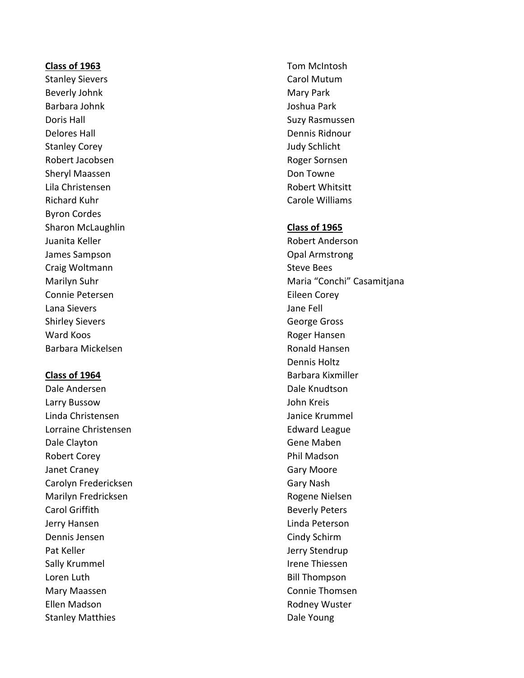# **Class of 1963** Tom McIntosh

Beverly Johnk Mary Park Barbara Johnk Joshua Park Doris Hall Suzy Rasmussen Delores Hall Dennis Ridnour Stanley Corey **Accord Contract Contract Contract Contract Contract Contract Contract Contract Contract Contract Contract Contract Contract Contract Contract Contract Contract Contract Contract Contract Contract Contract Co** Robert Jacobsen and The Roger Sornsen Roger Sornsen Sheryl Maassen **Don Towne** Lila Christensen Robert Whitsitt Richard Kuhr Carole Williams Byron Cordes Sharon McLaughlin **Class of 1965** Juanita Keller **New York and Accord Anderson** Robert Anderson James Sampson **Department Construction** Opal Armstrong Craig Woltmann Steve Bees Connie Petersen Eileen Corey Lana Sievers Jane Fell Shirley Sievers **George Gross** Ward Koos **Roger Hansen** Barbara Mickelsen Ronald Hansen

Dale Andersen Dale Knudtson Larry Bussow John Kreis Linda Christensen Janice Krummel Lorraine Christensen **Edward League** Dale Clayton Gene Maben Robert Corey **Phil Madson** Janet Craney **Gary Moore** Carolyn Fredericksen Gary Nash Marilyn Fredricksen and Rogene Nielsen Carol Griffith **Beverly Peters** Jerry Hansen Linda Peterson Dennis Jensen Cindy Schirm Pat Keller **Jerry Stendrup** Sally Krummel **IV** and Irene Thiessen Loren Luth **Bill Thompson** Mary Maassen Connie Thomsen Ellen Madson **Rodney Wuster** Rodney Wuster Stanley Matthies **Example 2018** Dale Young

Stanley Sievers **Carol Mutum** 

Marilyn Suhr Maria "Conchi" Casamitjana Dennis Holtz **Class of 1964** Barbara Kixmiller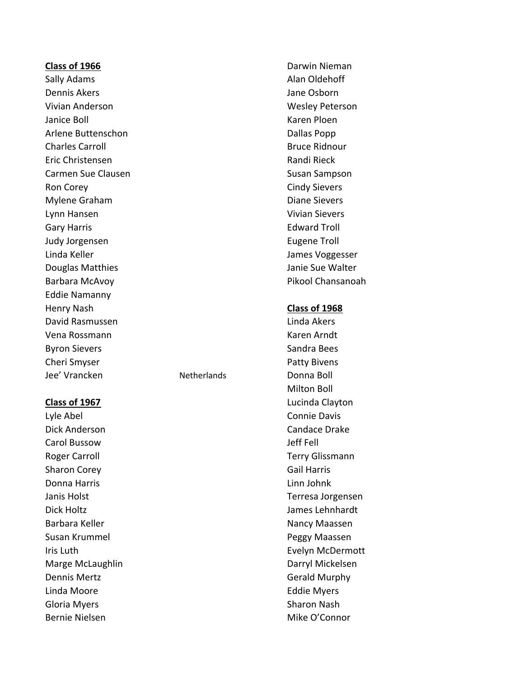### **Class of 1966** Darwin Nieman

Dennis Akers Jane Osborn Vivian Anderson Wesley Peterson Janice Boll **Karen Ploen** Arlene Buttenschon and Dallas Popp Charles Carroll **Bruce Ridnour** Bruce Ridnour Eric Christensen **Randi Rieck** Randi Rieck Carmen Sue Clausen Susan Sampson Ron Corey **Cindy Sievers** Mylene Graham and Diane Sievers Lynn Hansen Vivian Sievers Gary Harris **Edward Troll** Judy Jorgensen Eugene Troll Linda Keller **Von Einer Schwarzer aus der Einer Schwarzer aus der Eine Green Eine Eine Eine Eine Eine Eine Ein** Douglas Matthies **Douglas Matthies Janie Sue Walter** Barbara McAvoy **Pikool Chansanoah** Eddie Namanny Henry Nash **Class of 1968** David Rasmussen and Linda Akers Vena Rossmann Karen Arndt Byron Sievers Sandra Bees Cheri Smyser **Patty Bivens** Jee' Vrancken Netherlands Donna Boll

Dick Anderson Candace Drake Carol Bussow Jeff Fell Roger Carroll **Terry Glissmann** Sharon Corey **Gail Harris** Gail Harris Donna Harris Linn Johnk Dick Holtz James Lehnhardt Barbara Keller Nancy Maassen Susan Krummel **National Susan Krummel Peggy Maassen** Marge McLaughlin **Darryl Mickelsen** Dennis Mertz **Gerald Murphy** Linda Moore **Eddie Myers** Eddie Myers Gloria Myers **Sharon Nash** Sharon Nash Bernie Nielsen Mike O'Connor

Sally Adams **Alan Oldehoff** 

Milton Boll **Class of 1967** Lucinda Clayton Lyle Abel Connie Davis Janis Holst Terresa Jorgensen Iris Luth **Evelyn McDermott**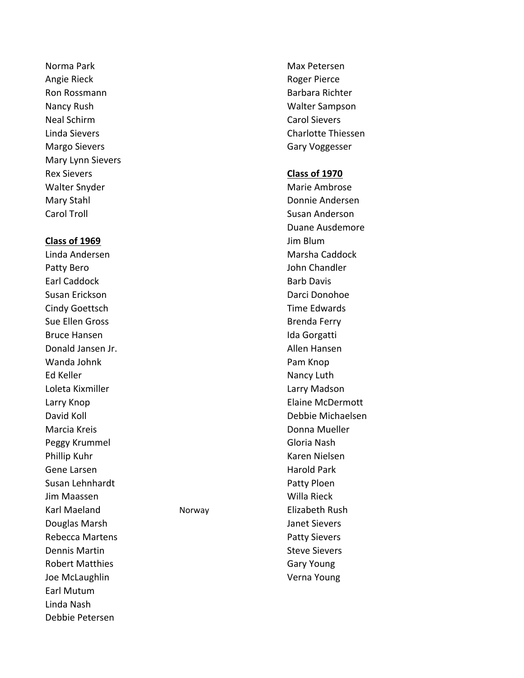Norma Park Max Petersen Angie Rieck **Roger Pierce** Ron Rossmann Barbara Richter (Barbara Richter III) Nancy Rush Walter Sampson Neal Schirm Carol Sievers Margo Sievers Gary Voggesser Mary Lynn Sievers Rex Sievers **Class of 1970** Walter Snyder Marie Ambrose Mary Stahl Donnie Andersen Carol Troll Susan Anderson

### **Class of 1969** Jim Blum

Patty Bero **Disk and American** Bohn Chandler Earl Caddock **Barb Davis** Barb Davis Susan Erickson Darci Donohoe Cindy Goettsch **Time Edwards** Sue Ellen Gross and the state of the Brenda Ferry Bruce Hansen **Ida Gorgatti** Donald Jansen Jr. Allen Hansen Wanda Johnk **Pam Knop** Ed Keller Nancy Luth Loleta Kixmiller Larry Madson Marcia Kreis **Marcia Kreis Communist Communist Communist Communist Communist Communist Communist Communist Communist Communist Communist Communist Communist Communist Communist Communist Communist Communist Communist Commu** Peggy Krummel Gloria Nash Phillip Kuhr Karen Nielsen Gene Larsen Harold Park Susan Lehnhardt **Patty Ploen** Jim Maassen Willa Rieck Karl Maeland Norway Norway Elizabeth Rush Douglas Marsh Janet Sievers Rebecca Martens **Patty Sievers** Patty Sievers Dennis Martin National Steve Sievers Robert Matthies **Gary Young** Joe McLaughlin Verna Young Earl Mutum Linda Nash Debbie Petersen

Linda Sievers Charlotte Thiessen

Duane Ausdemore Linda Andersen Marsha Caddock Larry Knop **Elaine McDermott** David Koll Debbie Michaelsen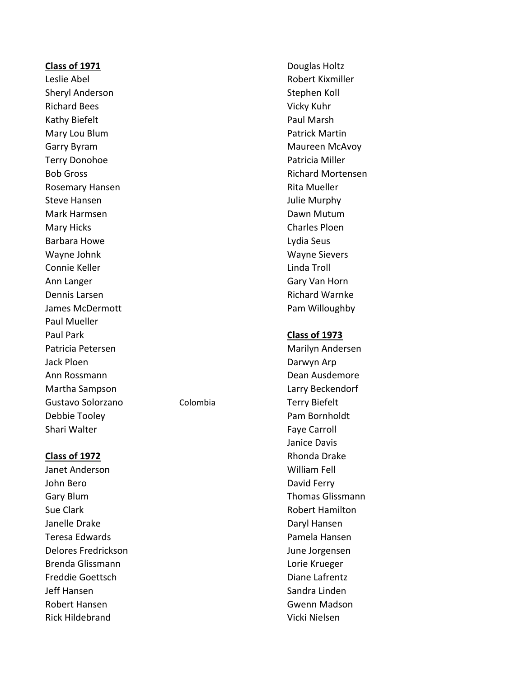### **Class of 1971** Douglas Holtz

Sheryl Anderson Sheryl Anderson Stephen Koll Richard Bees Vicky Kuhr Kathy Biefelt **Paul Marsh** Mary Lou Blum **Marting Community** Patrick Martin Garry Byram Maureen McAvoy Terry Donohoe **Patricia Miller** Bob Gross **Richard Mortensen** Rosemary Hansen **Rita Mueller** Rita Mueller Steve Hansen and The Communication of the United Steve Hansen and Tulie Murphy Mark Harmsen Dawn Mutum Mary Hicks **Charles Ploen** Barbara Howe **Lydia Seus** Wayne Johnk Wayne Sievers Connie Keller **Linda Troll** Ann Langer Gary Van Horn Dennis Larsen **Richard Warnke** James McDermott **Pam Willoughby** Paul Mueller Paul Park **Class of 1973** Patricia Petersen Marilyn Andersen Jack Ploen **Darwyn Arp** Ann Rossmann Dean Ausdemore Martha Sampson Larry Beckendorf Gustavo Solorzano Colombia Terry Biefelt Debbie Tooley Pam Bornholdt Shari Walter **Faxe Carroll** Shari Walter **Faxe Carroll** 

Janet Anderson William Fell John Bero **David Ferry** Gary Blum Gary Blum Care and Care and Care and Thomas Glissmann Sue Clark **Robert Hamilton** Janelle Drake Daryl Hansen Teresa Edwards **Pamela Hansen** Delores Fredrickson June Jorgensen Brenda Glissmann Lorie Krueger Freddie Goettsch Diane Lafrentz Jeff Hansen Sandra Linden Robert Hansen Gwenn Madson Rick Hildebrand Vicki Nielsen

Leslie Abel Robert Kixmiller

Janice Davis **Class of 1972** Rhonda Drake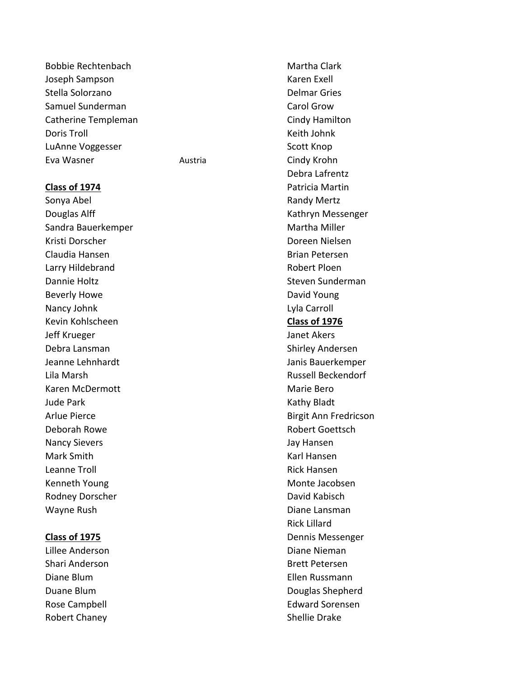Bobbie Rechtenbach Martha Clark Joseph Sampson Karen Exell Stella Solorzano **Delmar Gries** Delmar Gries Samuel Sunderman Carol Grow Carol Grow Catherine Templeman Catherine Templeman Doris Troll North American Controll Neith Johnk LuAnne Voggesser Scott Knop Eva Wasner **Austria** Austria **Cindy Krohn** 

Sonya Abel **Randy Mertz Randy Mertz** Douglas Alff Kathryn Messenger Sandra Bauerkemper Martha Miller Kristi Dorscher Doreen Nielsen Claudia Hansen Brian Petersen Larry Hildebrand **Robert Ploen** Dannie Holtz **Steven Sunderman** Beverly Howe **David Young** Nancy Johnk Lyla Carroll Kevin Kohlscheen **Class of 1976** Jeff Krueger Janet Akers Debra Lansman Shirley Andersen Jeanne Lehnhardt Janis Bauerkemper Lila Marsh Russell Beckendorf Karen McDermott **Marie Bero** Marie Bero Jude Park **Kathy Bladt** Deborah Rowe **Robert Goettsch** Nancy Sievers **Nancy Sievers** And The Manuscript of the United States of the United States and Tay Hansen Mark Smith Karl Hansen Leanne Troll **Rick Hansen** Kenneth Young Monte Jacobsen Rodney Dorscher **David Kabisch** David Kabisch Wayne Rush **Diane Lansman** 

Lillee Anderson **Diane Nieman** Shari Anderson Brett Petersen Diane Blum Ellen Russmann Robert Chaney **Shellie Drake** 

Debra Lafrentz **Class of 1974 Patricia Martin** Arlue Pierce **Birgit Ann Fredricson** Rick Lillard **Class of 1975** Dennis Messenger Duane Blum Douglas Shepherd Rose Campbell **Edward Sorensen**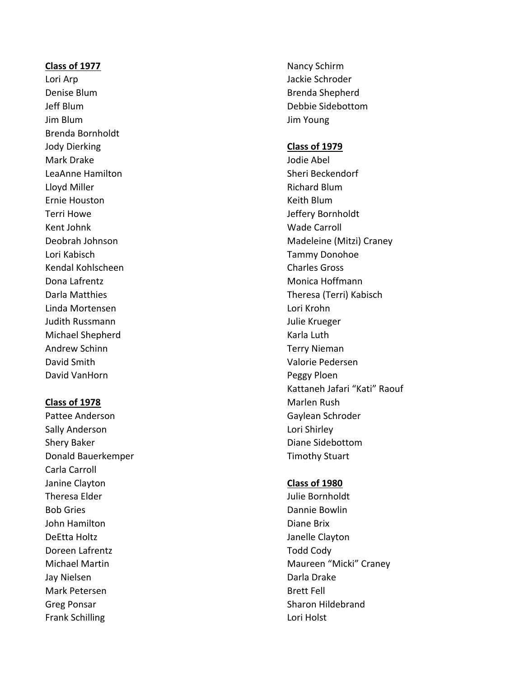### **Class of 1977** Nancy Schirm

Denise Blum Brenda Shepherd Jim Blum Jim Young Brenda Bornholdt Jody Dierking **Class of 1979** Mark Drake **Mark Drake Abel** LeaAnne Hamilton Sheri Beckendorf Lloyd Miller **Nichard Blum** Ernie Houston **Keith Blum** Terri Howe **Internal Community** Terri Howe Kent Johnk Wade Carroll Lori Kabisch Tammy Donohoe Kendal Kohlscheen Charles Gross Dona Lafrentz **Monica Hoffmann** Linda Mortensen Lori Krohn Judith Russmann Julie Krueger Michael Shepherd Karla Luth Andrew Schinn Terry Nieman David Smith Valorie Pedersen David VanHorn **Peggy Ploen** 

Sally Anderson **Lori Shirley** Shery Baker **Diane Sidebottom** Donald Bauerkemper Timothy Stuart Carla Carroll Janine Clayton **Class of 1980** Theresa Elder **All and Science and Science and Science and Science and Science and Science and Science and Science and Science and Science and Science and Science and Science and Science and Science and Science and Science** Bob Gries **Dannie Bowlin** John Hamilton **Diane Brix** DeEtta Holtz **DeEtta Holtz** Janelle Clayton Doreen Lafrentz Todd Cody Jay Nielsen **Darla Drake** Mark Petersen and Brett Fell Greg Ponsar Sharon Hildebrand Frank Schilling Lori Holst

Lori Arp Jackie Schroder Jeff Blum Debbie Sidebottom

Deobrah Johnson Madeleine (Mitzi) Craney Darla Matthies Theresa (Terri) Kabisch Kattaneh Jafari "Kati" Raouf **Class of 1978** Marlen Rush Pattee Anderson Gaylean Schroder

Michael Martin Maureen "Micki" Craney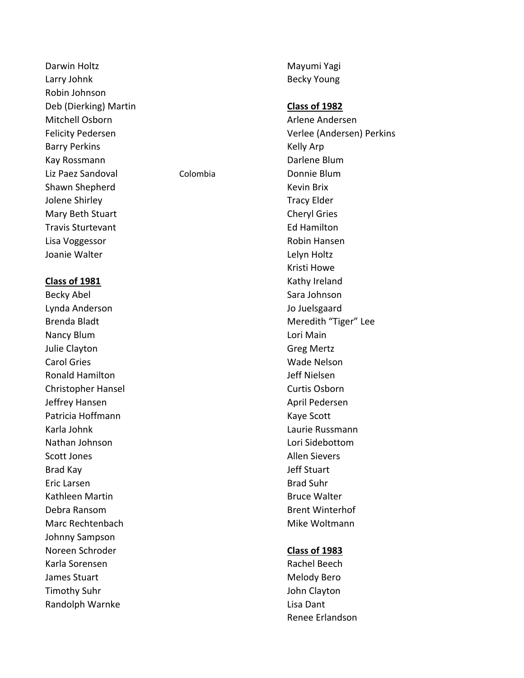Darwin Holtz **Mayumi Yagi** Larry Johnk **Becky** Young Robin Johnson Deb (Dierking) Martin **Class of 1982** Mitchell Osborn Arlene Andersen Barry Perkins **Kelly Arp** Kay Rossmann **Darlene Blum** Liz Paez Sandoval Colombia Donnie Blum Shawn Shepherd **Kevin Brix** Kevin Brix Jolene Shirley **Tracy Elder** Mary Beth Stuart Cheryl Gries Travis Sturtevant **Ed Hamilton** Lisa Voggessor **Robin Hansen** Joanie Walter **Legenside Communist Communist Communist Communist Communist Communist Communist Communist Communist Communist Communist Communist Communist Communist Communist Communist Communist Communist Communist Communi** 

Becky Abel Sara Johnson Lynda Anderson Jo Juelsgaard Nancy Blum **Nancy Blum Lori Main** Julie Clayton Greg Mertz Carol Gries Wade Nelson Ronald Hamilton Jeff Nielsen Christopher Hansel Curtis Osborn Jeffrey Hansen April Pedersen Patricia Hoffmann **Kaye Scott** Karla Johnk Laurie Russmann Nathan Johnson Lori Sidebottom Scott Jones **Allen Sievers** Allen Sievers Brad Kay Jeff Stuart Eric Larsen Brad Suhr Kathleen Martin **Bruce Walter** Bruce Walter Debra Ransom and Brent Winterhof Marc Rechtenbach Mike Woltmann Johnny Sampson Noreen Schroder **Class of 1983** Karla Sorensen Rachel Beech Rachel Beech James Stuart **Melody Bero Melody Bero** Timothy Suhr **International Clayton** John Clayton Randolph Warnke Lisa Dant

Felicity Pedersen Verlee (Andersen) Perkins Kristi Howe **Class of 1981** Kathy Ireland Brenda Bladt **Meredith "Tiger"** Lee

Renee Erlandson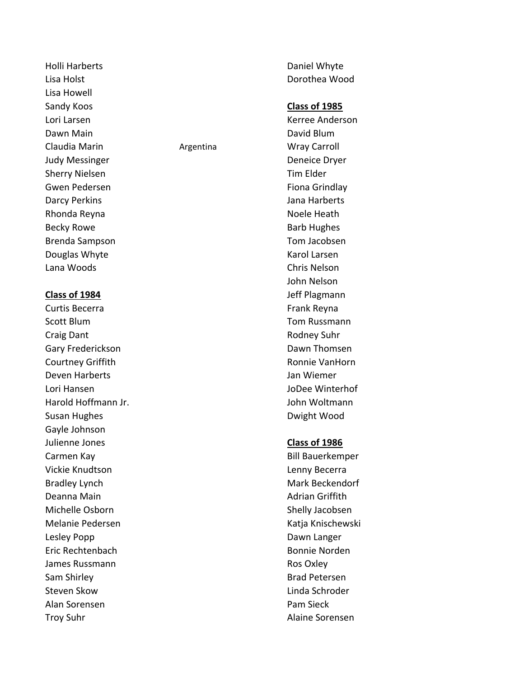Holli Harberts **Daniel Whyte** Lisa Holst Dorothea Wood Lisa Howell Sandy Koos **Class of 1985** Lori Larsen Kerree Anderson Dawn Main David Blum Claudia Marin **Argentina** Argentina Marin Wray Carroll Judy Messinger **Deneice** Dryer Sherry Nielsen and Tim Elder Gwen Pedersen Fiona Grindlay Darcy Perkins **Darcy Perkins** Jana Harberts Rhonda Reyna Noele Heath Becky Rowe **Barb Hughes** Barb Hughes Brenda Sampson Tom Jacobsen Douglas Whyte **Karol Larsen Karol Larsen** Lana Woods Chris Nelson

**Class of 1984 Jeff Plagmann** Curtis Becerra **Frank Reyna** Frank Reyna Scott Blum Tom Russmann Craig Dant **Rodney Suhr** Rodney Suhr Gary Frederickson **Dawn Thomsen** Courtney Griffith **Ronnie VanHorn** Ronnie VanHorn Deven Harberts Jan Wiemer Lori Hansen JoDee Winterhof Harold Hoffmann Jr. John Woltmann Susan Hughes **Dwight Wood** Gayle Johnson Julienne Jones **Class of 1986** Carmen Kay **Bill Bauerkemper** Vickie Knudtson Lenny Becerra Bradley Lynch Mark Beckendorf Deanna Main **Adrian Adrian Adrian Griffith** Michelle Osborn Shelly Jacobsen Melanie Pedersen Katja Knischewski Lesley Popp **Dawn** Langer Eric Rechtenbach Bonnie Norden James Russmann **Ros Oxley** Sam Shirley **Brad Petersen** Steven Skow **Linda Schroder Linda Schroder** Alan Sorensen Pam Sieck

John Nelson

Troy Suhr **Alaine Sorensen**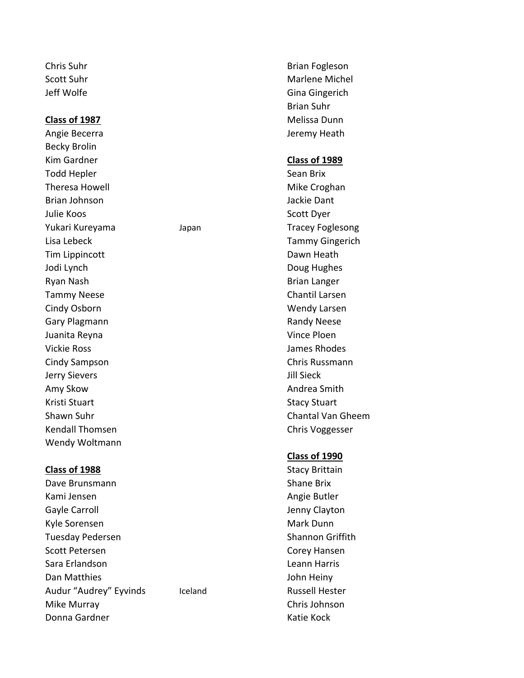Becky Brolin Kim Gardner **Class of 1989** Todd Hepler Sean Brix Theresa Howell **Mike Croghan** Brian Johnson Jackie Dant Julie Koos **Scott Dyer** Yukari Kureyama Manan Japan Tracey Foglesong Lisa Lebeck Tammy Gingerich Tim Lippincott Dawn Heath Jodi Lynch **Doug Hughes** Doug Hughes Ryan Nash **Brian Langer** Brian Langer Tammy Neese Chantil Larsen Cindy Osborn Wendy Larsen Gary Plagmann **Randy Neese Randy Neese** Juanita Reyna Vince Ploen Vickie Ross James Rhodes Cindy Sampson Chris Russmann Jerry Sievers Jill Sieck Amy Skow **Andrea Smith** Kristi Stuart National Stacy Stuart Stacy Stuart Kendall Thomsen Chris Voggesser Wendy Woltmann

### **Class of 1988** Stacy Brittain

Dave Brunsmann National Shane Brix Kami Jensen Angie Butler Gayle Carroll **Gayle Carroll Gayle Carroll** Kyle Sorensen Mark Dunn Tuesday Pedersen Shannon Griffith Scott Petersen Corey Hansen Sara Erlandson Leann Harris Dan Matthies **Dan Matthies** John Heiny Audur "Audrey" Eyvinds Iceland Russell Hester Mike Murray Chris Johnson Donna Gardner Katie Kock

Chris Suhr Brian Fogleson Scott Suhr Marie Michel Michel Michel Michel Michel Michel Michel Michel Michel Michel Michel Michel Michel Michel Michel Michel Michel Michel Michel Michel Michel Michel Michel Michel Michel Michel Michel Michel Michel Mi Jeff Wolfe Gina Gingerich Brian Suhr **Class of 1987** Melissa Dunn Angie Becerra **Jeremy Heath** 

Shawn Suhr Chantal Van Gheem

### **Class of 1990**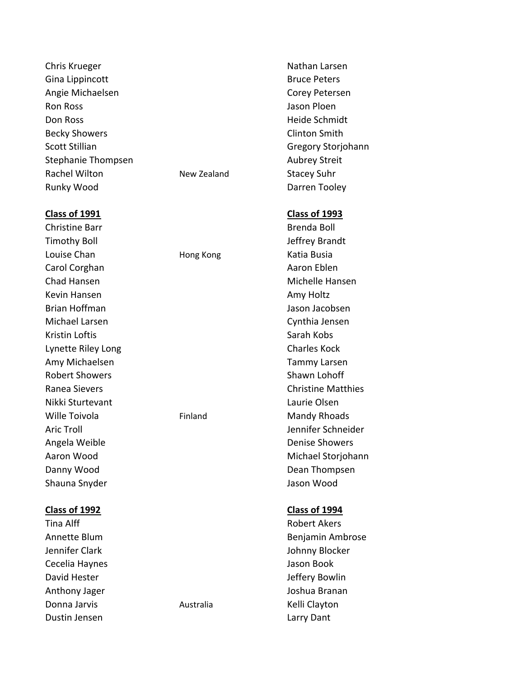Chris Krueger Nathan Larsen Gina Lippincott **Bruce Peters** Bruce Peters Angie Michaelsen Corey Petersen Ron Ross Jason Ploen Don Ross Heide Schmidt Becky Showers **Clinton Smith** Scott Stillian Gregory Storjohann Stephanie Thompsen Aubrey Streit Rachel Wilton New Zealand Stacey Suhr Runky Wood **Darren Tooley** 

Timothy Boll Jeffrey Brandt Louise Chan **Hong Kong** Katia Busia Carol Corghan **Aaron Eblen** Aaron Eblen Chad Hansen Michelle Hansen Kevin Hansen **Amy Holtz** Amy Holtz Brian Hoffman Jason Jacobsen Michael Larsen Cynthia Jensen Kristin Loftis **Sarah Kobs** Sarah Kobs Lynette Riley Long Charles Kock Amy Michaelsen Tammy Larsen Robert Showers Shawn Lohoff Nikki Sturtevant Laurie Olsen Wille Toivola **Finland** Finland Mandy Rhoads Angela Weible **Denise Showers** Danny Wood **Danny Wood** Dean Thompsen Shauna Snyder **Jason Wood** 

### **Class of 1992 Class of 1994**

Tina Alff **Robert Akers Robert Akers** Cecelia Haynes **Cecelia Haynes** Jason Book David Hester **David Hester** Jeffery Bowlin Anthony Jager **Joshua Branan** Donna Jarvis **Australia** Australia Kelli Clayton Dustin Jensen Larry Dant

### **Class of 1991 Class of 1993**

Christine Barr **Brenda Boll** Brenda Boll Ranea Sievers Christine Matthies Aric Troll Jennifer Schneider Aaron Wood **Michael Storjohann** 

Annette Blum Benjamin Ambrose Jennifer Clark Johnny Blocker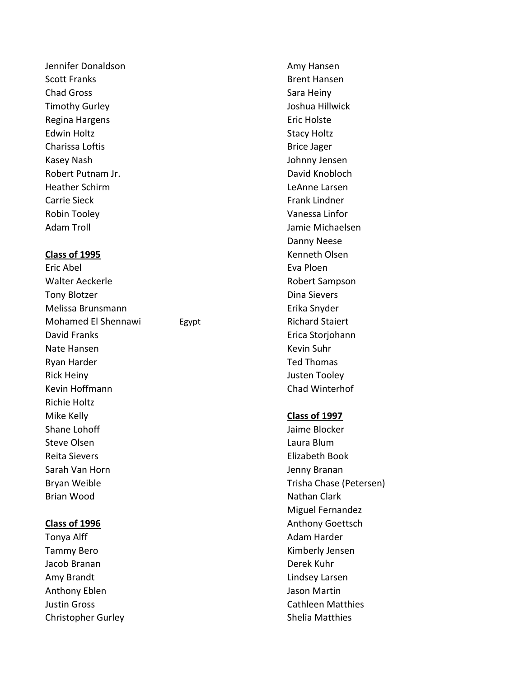Jennifer Donaldson **Amy Hansen** Amy Hansen Scott Franks and Brent Hansen Brent Hansen Chad Gross **Sara Heiny** Sara Heiny Timothy Gurley Joshua Hillwick Regina Hargens **Exercise Exercise Entrancement** Eric Holste Edwin Holtz **Example 2018** Stacy Holtz Charissa Loftis **Brice Jager** Brice Jager Kasey Nash Johnny Jensen Robert Putnam Jr. David Knobloch Heather Schirm LeAnne Larsen Carrie Sieck Frank Lindner Robin Tooley **Vanessa Linfor** Adam Troll Jamie Michaelsen

Eric Abel Eva Ploen Walter Aeckerle **National Accord Contract Contract Accord Participate Accord Participate Accord Participate Accord Participate Accord Participate Accord Participate Accord Participate Accord Participate Accord Participate** Tony Blotzer **Dina Sievers** Dina Sievers Melissa Brunsmann Erika Snyder Mohamed El Shennawi Egypt **Egypt** Richard Staiert David Franks **Exercise Stories Engineering** Erica Storiohann Nate Hansen Kevin Suhr Ryan Harder Ted Thomas Rick Heiny **New York Contract Enterprise Struck** Justen Tooley Kevin Hoffmann **Chad Winterhof** Richie Holtz Mike Kelly **Class of 1997** Shane Lohoff **Jaime Blocker** Jaime Blocker Steve Olsen and the Contract of the Laura Blum Reita Sievers Elizabeth Book Sarah Van Horn Jenny Branan Bryan Weible Trisha Chase (Petersen) Brian Wood **Nathan Clark** Nathan Clark

Tonya Alff **Adam Harder** Adam Harder Tammy Bero **Kimberly Jensen** Jacob Branan Derek Kuhr Amy Brandt **Lindsey Larsen** Anthony Eblen **Jason Martin** Christopher Gurley **Shelia Matthies** 

Danny Neese **Class of 1995** Kenneth Olsen

Miguel Fernandez **Class of 1996 Anthony Goettsch** Justin Gross Cathleen Matthies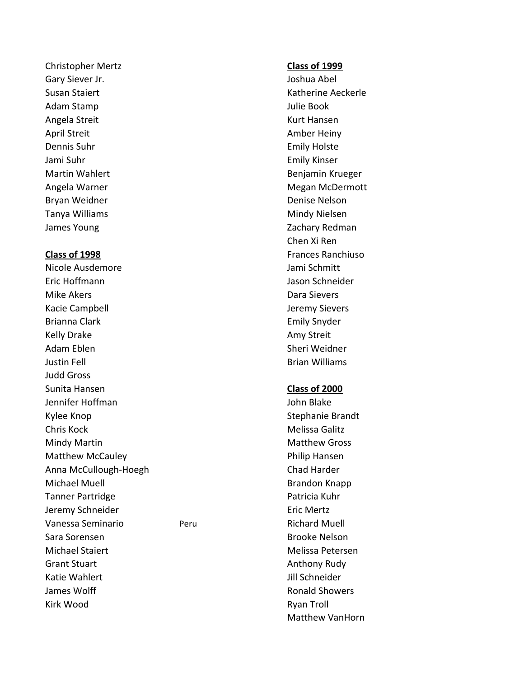Christopher Mertz **Class of 1999** Gary Siever Jr. **Gary Siever Jr.** Joshua Abel Adam Stamp Julie Book Angela Streit Kurt Hansen April Streit Amber Heiny Dennis Suhr **Emily Holste** Jami Suhr Emily Kinser Bryan Weidner **Denise Nelson** Denise Nelson Tanya Williams **Mindy Nielsen** Mindy Nielsen James Young **Zachary Redman** 

Nicole Ausdemore and a series of the Jami Schmitt Eric Hoffmann Jason Schneider Mike Akers **Data Sievers** Dara Sievers Kacie Campbell **Gaussian Company Sievers** Jeremy Sievers Brianna Clark **Emily Snyder** Emily Snyder Kelly Drake Amy Streit Adam Eblen Sheri Weidner Justin Fell Brian Williams Judd Gross Sunita Hansen **Class of 2000** Jennifer Hoffman John Blake Kylee Knop Stephanie Brandt Chris Kock **Melissa Galitz** Mindy Martin Matthew Gross Matthew McCauley **According the Cauley** Philip Hansen Anna McCullough-Hoegh Chad Harder Michael Muell **Brandon Knapp** Tanner Partridge **Patricia Kuhr** Patricia Kuhr Jeremy Schneider **Eric Mertz** Vanessa Seminario Peru Peru Richard Muell Sara Sorensen Brooke Nelson Michael Staiert **Melissa Petersen** Grant Stuart Anthony Rudy **Anthony Rudy** Katie Wahlert **Julie Schneider** Julie Schneider James Wolff Ronald Showers Kirk Wood **Ryan Troll** 

Susan Staiert **Katherine Aeckerle** Martin Wahlert **Benjamin Krueger** Benjamin Krueger Angela Warner Megan McDermott by Megan McDermott Chen Xi Ren **Class of 1998 Frances Ranchiuso Frances Ranchiuso** 

Matthew VanHorn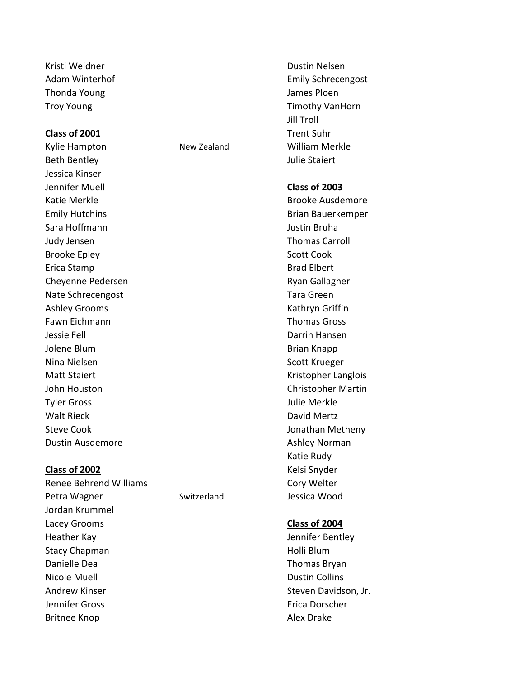Kristi Weidner Dustin Nelsen Thonda Young Thonda Young Thonda Young Thonda Young James Ploen

## **Class of 2001** Trent Suhr

Kylie Hampton New Zealand William Merkle Beth Bentley **Accord Entity Contract Contract Contract Contract Contract Contract Contract Contract Contract Contract Contract Contract Contract Contract Contract Contract Contract Contract Contract Contract Contract Contr** Jessica Kinser Jennifer Muell **Class of 2003** Katie Merkle Brooke Ausdemore Emily Hutchins **Brian Bauerkemper Brian Bauerkemper** Sara Hoffmann Justin Bruha Judy Jensen Thomas Carroll Brooke Epley Scott Cook Erica Stamp Brad Elbert Cheyenne Pedersen **Ryangsamersen** Ryan Gallagher Nate Schrecengost **Nate Schrecengost Nate Schreen** Ashley Grooms **Kathryn Griffin** Fawn Eichmann Thomas Gross Jessie Fell Darrin Hansen Jolene Blum **Brian Knapp** Nina Nielsen Scott Krueger Matt Staiert **Kristopher Langlois** Kristopher Langlois John Houston Christopher Martin Tyler Gross Julie Merkle Walt Rieck David Mertz Steve Cook **Jonathan Metheny** Dustin Ausdemore **Ashley Norman** 

Adam Winterhof **Emily Schreengost** Emily Schrecengost Troy Young Troy Young Timothy VanHorn Jill Troll

Katie Rudy

### **Class of 2002** Kelsi Snyder

Renee Behrend Williams **Cory Welter** Cory Welter Petra Wagner The Switzerland Switzerland Jessica Wood Jordan Krummel Lacey Grooms **Class of 2004** Heather Kay Jennifer Bentley Stacy Chapman **Holli Blum** Holli Blum Danielle Dea National Accords and the Thomas Bryan Nicole Muell **Dustin Collins Dustin Collins** Andrew Kinser Steven Davidson, Jr. Jennifer Gross Erica Dorscher Britnee Knop **Alex Drake** Alex Drake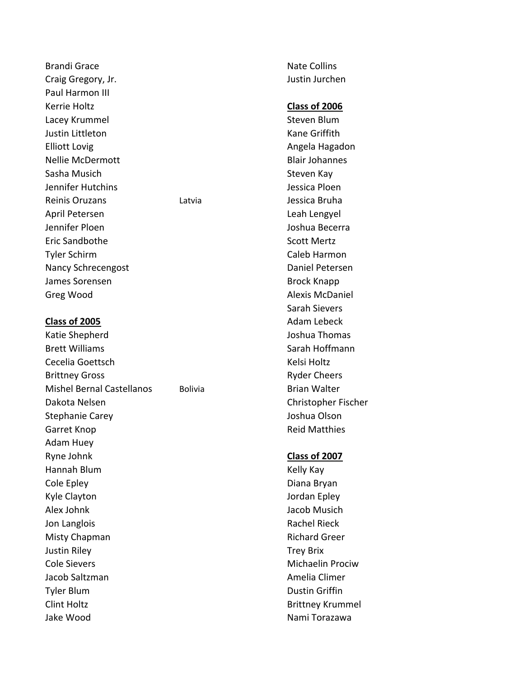Brandi Grace National Assemblace National Assemblace National Assemblace National Assemblace National Assembla Craig Gregory, Jr. Justin Jurchen Paul Harmon III Kerrie Holtz **Class of 2006** Lacey Krummel **Steven Blum Justin Littleton** Kane Griffith Elliott Lovig **Angela Hagadon Angela Hagadon** Nellie McDermott Blair Johannes Sasha Musich Sasha Musich Steven Kay Jennifer Hutchins Jessica Ploen Reinis Oruzans Latvia Jessica Bruha April Petersen and a series of the contract of the Leah Lengyel Jennifer Ploen Joshua Becerra Eric Sandbothe Scott Mertz Tyler Schirm Caleb Harmon Nancy Schrecengost **Daniel Petersen** James Sorensen Brock Knapp Greg Wood **Alexis McDaniel** 

Katie Shepherd **Joshua Thomas** Brett Williams **Sarah Hoffmann** Cecelia Goettsch Kelsi Holtz Brittney Gross **Ryder Cheers** Ryder Cheers **Ryder Cheers** Mishel Bernal Castellanos Bolivia Brian Walter Dakota Nelsen Christopher Fischer Stephanie Carey **Joshua Olson** Garret Knop **Reid Matthies** Adam Huey Ryne Johnk **Class of 2007** Hannah Blum Kelly Kay Cole Epley **Diana Bryan** Kyle Clayton **In the Clayton** Jordan Epley Alex Johnk Jacob Musich Alex Johnk Jacob Musich Alex John Jacob Musich Alex Jacob Musich Jon Langlois **Rachel Rieck Rachel Rieck** Misty Chapman **Richard Greer** Richard Greer Justin Riley **Trey Brix** Cole Sievers **Michaelin Prociw** Michaelin Prociw Jacob Saltzman Amelia Climer Tyler Blum Dustin Griffin Clint Holtz **Brittney Krummel** Jake Wood Nami Torazawa

Sarah Sievers **Class of 2005 Adam Lebeck Adam Lebeck**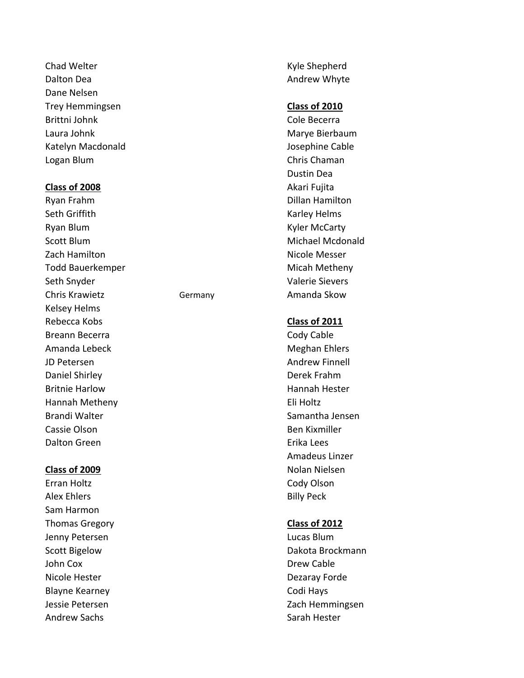Chad Welter **Kyle Shepherd Kyle Shepherd** Dalton Dea **Andrew Whyte** Dalton Dea Andrew Whyte Dane Nelsen Trey Hemmingsen **Class of 2010** Brittni Johnk Cole Becerra Laura Johnk Marye Bierbaum Katelyn Macdonald **According to the Cable** Josephine Cable Logan Blum Chris Chaman

### **Class of 2008** Akari Fujita

Seth Griffith Karley Helms Ryan Blum **Kyler McCarty** Scott Blum and the Controller of the Michael Mcdonald Zach Hamilton Nicole Messer Todd Bauerkemper Micah Metheny Seth Snyder Valerie Sievers Chris Krawietz **Germany** Germany **Amanda Skow** Kelsey Helms Rebecca Kobs **Class of 2011** Breann Becerra **Cody Cable** Amanda Lebeck and the control of the Meghan Ehlers JD Petersen Andrew Finnell Daniel Shirley Derek Frahm Britnie Harlow **Hannah Hester Hannah Hester** Hannah Metheny Eli Holtz Brandi Walter Samantha Jensen Cassie Olson **Ben Kixmiller** Dalton Green **Example 2018** Critical Lees

Sam Harmon

Dustin Dea Ryan Frahm **Dillan Hamilton** 

Amadeus Linzer **Class of 2009** Nolan Nielsen Erran Holtz **Cody Olson** Alex Ehlers **Billy Peck** 

# Thomas Gregory **Class of 2012**

Jenny Petersen Lucas Blum Scott Bigelow **Dakota Brockmann** John Cox **Drew Cable** Nicole Hester **Dezaray Forde** Blayne Kearney **Codi Hays** Jessie Petersen Zach Hemmingsen Andrew Sachs Sarah Hester